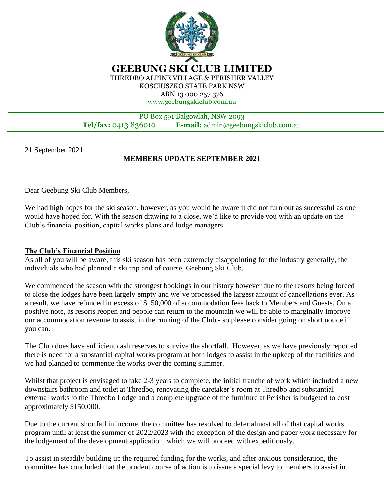

**GEEBUNG SKI CLUB LIMITED** THREDBO ALPINE VILLAGE & PERISHER VALLEY KOSCIUSZKO STATE PARK NSW

ABN 13 000 257 376 www.geebungskiclub.com.au

## PO Box 591 Balgowlah, NSW 2093 **Tel/fax:** 0413 836010 **E-mail:** admin@geebungskiclub.com.au

21 September 2021

j

## **MEMBERS UPDATE SEPTEMBER 2021**

Dear Geebung Ski Club Members,

We had high hopes for the ski season, however, as you would be aware it did not turn out as successful as one would have hoped for. With the season drawing to a close, we'd like to provide you with an update on the Club's financial position, capital works plans and lodge managers.

## **The Club's Financial Position**

As all of you will be aware, this ski season has been extremely disappointing for the industry generally, the individuals who had planned a ski trip and of course, Geebung Ski Club.

We commenced the season with the strongest bookings in our history however due to the resorts being forced to close the lodges have been largely empty and we've processed the largest amount of cancellations ever. As a result, we have refunded in excess of \$150,000 of accommodation fees back to Members and Guests. On a positive note, as resorts reopen and people can return to the mountain we will be able to marginally improve our accommodation revenue to assist in the running of the Club - so please consider going on short notice if you can.

The Club does have sufficient cash reserves to survive the shortfall. However, as we have previously reported there is need for a substantial capital works program at both lodges to assist in the upkeep of the facilities and we had planned to commence the works over the coming summer.

Whilst that project is envisaged to take 2-3 years to complete, the initial tranche of work which included a new downstairs bathroom and toilet at Thredbo, renovating the caretaker's room at Thredbo and substantial external works to the Thredbo Lodge and a complete upgrade of the furniture at Perisher is budgeted to cost approximately \$150,000.

Due to the current shortfall in income, the committee has resolved to defer almost all of that capital works program until at least the summer of 2022/2023 with the exception of the design and paper work necessary for the lodgement of the development application, which we will proceed with expeditiously.

To assist in steadily building up the required funding for the works, and after anxious consideration, the committee has concluded that the prudent course of action is to issue a special levy to members to assist in